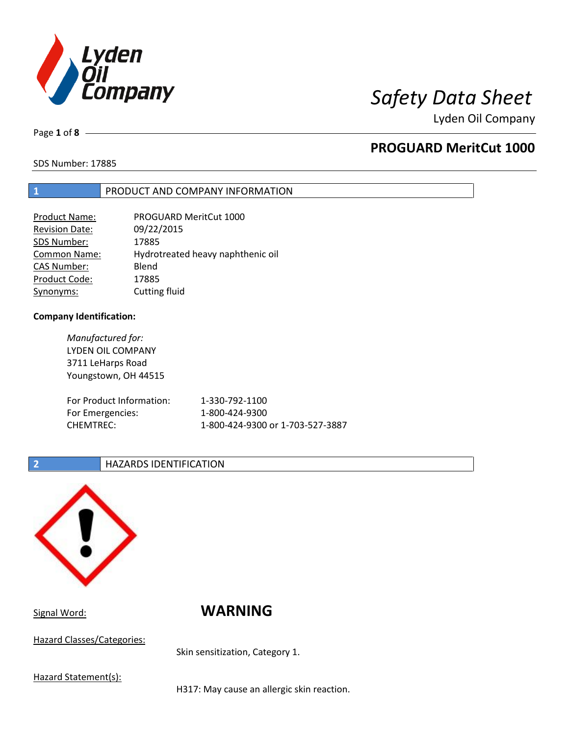

Page **1** of **8**

## **PROGUARD MeritCut 1000**

SDS Number: 17885

## **1** PRODUCT AND COMPANY INFORMATION

| Product Name:         | PROGUARD MeritCut 1000            |
|-----------------------|-----------------------------------|
| <b>Revision Date:</b> | 09/22/2015                        |
| SDS Number:           | 17885                             |
| <b>Common Name:</b>   | Hydrotreated heavy naphthenic oil |
| <b>CAS Number:</b>    | Blend                             |
| Product Code:         | 17885                             |
| Synonyms:             | Cutting fluid                     |

### **Company Identification:**

| Manufactured for:<br>LYDEN OIL COMPANY<br>3711 LeHarps Road<br>Youngstown, OH 44515 |                                  |
|-------------------------------------------------------------------------------------|----------------------------------|
| For Product Information:                                                            | 1-330-792-1100                   |
| For Emergencies:                                                                    | 1-800-424-9300                   |
| <b>CHEMTREC:</b>                                                                    | 1-800-424-9300 or 1-703-527-3887 |

### **2 HAZARDS IDENTIFICATION**



Hazard Classes/Categories:

# Signal Word: **WARNING**

Skin sensitization, Category 1.

Hazard Statement(s):

H317: May cause an allergic skin reaction.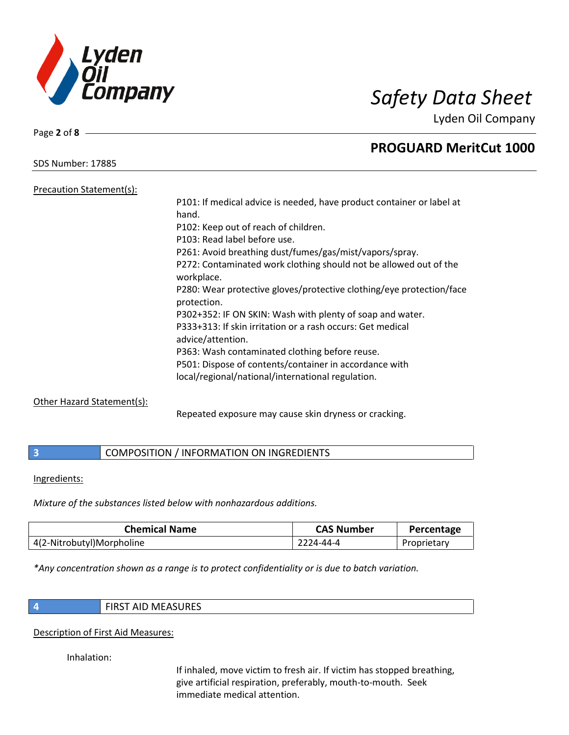

SDS Number: 17885

Page **2** of **8**

## **PROGUARD MeritCut 1000**

Precaution Statement(s): P101: If medical advice is needed, have product container or label at hand. P102: Keep out of reach of children. P103: Read label before use. P261: Avoid breathing dust/fumes/gas/mist/vapors/spray. P272: Contaminated work clothing should not be allowed out of the workplace. P280: Wear protective gloves/protective clothing/eye protection/face protection. P302+352: IF ON SKIN: Wash with plenty of soap and water. P333+313: If skin irritation or a rash occurs: Get medical advice/attention. P363: Wash contaminated clothing before reuse. P501: Dispose of contents/container in accordance with local/regional/national/international regulation.

### Other Hazard Statement(s):

Repeated exposure may cause skin dryness or cracking.

## **3** COMPOSITION / INFORMATION ON INGREDIENTS

Ingredients:

*Mixture of the substances listed below with nonhazardous additions.*

| <b>Chemical Name</b>      | <b>CAS Number</b> | Percentage  |
|---------------------------|-------------------|-------------|
| 4(2-Nitrobutyl)Morpholine | 2224-44-4         | Proprietary |

*\*Any concentration shown as a range is to protect confidentiality or is due to batch variation.*

|   | ۰. |  |
|---|----|--|
|   |    |  |
|   |    |  |
| . |    |  |
|   |    |  |

**4** FIRST AID MEASURES

### Description of First Aid Measures:

Inhalation:

If inhaled, move victim to fresh air. If victim has stopped breathing, give artificial respiration, preferably, mouth-to-mouth. Seek immediate medical attention.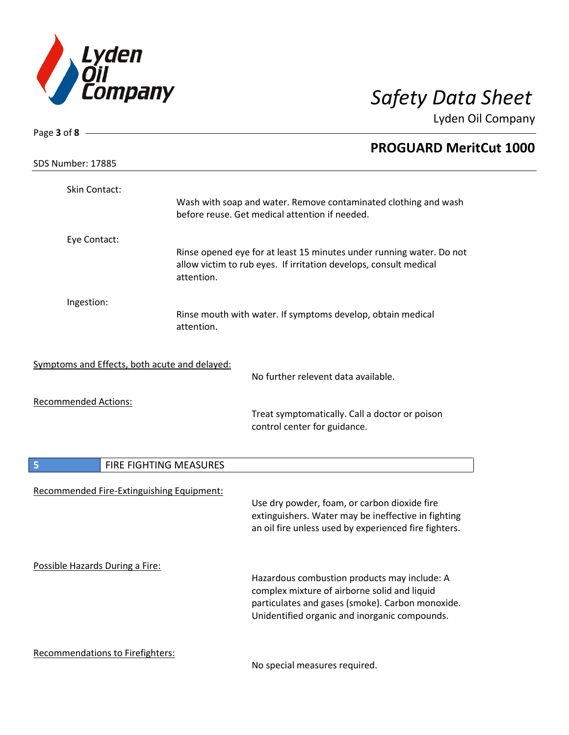

| Page 3 of 8 $-$                               |                        |                                                                                                                                                              |
|-----------------------------------------------|------------------------|--------------------------------------------------------------------------------------------------------------------------------------------------------------|
|                                               |                        | <b>PROGUARD MeritCut 1000</b>                                                                                                                                |
| SDS Number: 17885                             |                        |                                                                                                                                                              |
| Skin Contact:                                 |                        |                                                                                                                                                              |
|                                               |                        | Wash with soap and water. Remove contaminated clothing and wash<br>before reuse. Get medical attention if needed.                                            |
| Eye Contact:                                  |                        |                                                                                                                                                              |
|                                               | attention.             | Rinse opened eye for at least 15 minutes under running water. Do not<br>allow victim to rub eyes. If irritation develops, consult medical                    |
| Ingestion:                                    |                        |                                                                                                                                                              |
|                                               | attention.             | Rinse mouth with water. If symptoms develop, obtain medical                                                                                                  |
| Symptoms and Effects, both acute and delayed: |                        | No further relevent data available.                                                                                                                          |
|                                               |                        |                                                                                                                                                              |
| <b>Recommended Actions:</b>                   |                        | Treat symptomatically. Call a doctor or poison<br>control center for guidance.                                                                               |
| 5                                             | FIRE FIGHTING MEASURES |                                                                                                                                                              |
| Recommended Fire-Extinguishing Equipment:     |                        |                                                                                                                                                              |
|                                               |                        | Use dry powder, foam, or carbon dioxide fire<br>extinguishers. Water may be ineffective in fighting<br>an oil fire unless used by experienced fire fighters. |
| Possible Hazards During a Fire:               |                        | Hazardous combustion products may include: A                                                                                                                 |
|                                               |                        | complex mixture of airborne solid and liquid<br>particulates and gases (smoke). Carbon monoxide.                                                             |
|                                               |                        | Unidentified organic and inorganic compounds.                                                                                                                |
| Recommendations to Firefighters:              |                        | No special measures required.                                                                                                                                |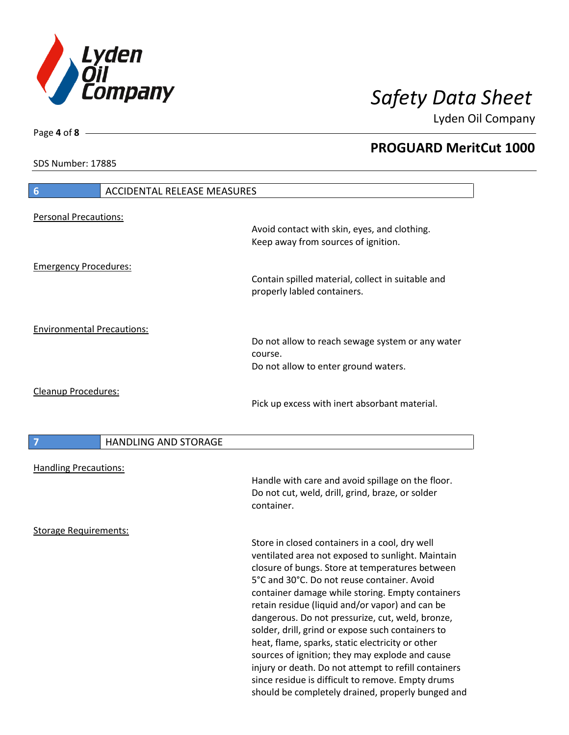

**PROGUARD MeritCut 1000**

Lyden Oil Company

SDS Number: 17885

Page **4** of **8**

| <b>ACCIDENTAL RELEASE MEASURES</b><br>6 |                                                                                                                                                                                                                                                                                                                                                                                                                                                                                                                                                                                                                                                                                                |
|-----------------------------------------|------------------------------------------------------------------------------------------------------------------------------------------------------------------------------------------------------------------------------------------------------------------------------------------------------------------------------------------------------------------------------------------------------------------------------------------------------------------------------------------------------------------------------------------------------------------------------------------------------------------------------------------------------------------------------------------------|
| <b>Personal Precautions:</b>            |                                                                                                                                                                                                                                                                                                                                                                                                                                                                                                                                                                                                                                                                                                |
|                                         | Avoid contact with skin, eyes, and clothing.<br>Keep away from sources of ignition.                                                                                                                                                                                                                                                                                                                                                                                                                                                                                                                                                                                                            |
| <b>Emergency Procedures:</b>            | Contain spilled material, collect in suitable and<br>properly labled containers.                                                                                                                                                                                                                                                                                                                                                                                                                                                                                                                                                                                                               |
| <b>Environmental Precautions:</b>       | Do not allow to reach sewage system or any water                                                                                                                                                                                                                                                                                                                                                                                                                                                                                                                                                                                                                                               |
|                                         | course.<br>Do not allow to enter ground waters.                                                                                                                                                                                                                                                                                                                                                                                                                                                                                                                                                                                                                                                |
| <b>Cleanup Procedures:</b>              | Pick up excess with inert absorbant material.                                                                                                                                                                                                                                                                                                                                                                                                                                                                                                                                                                                                                                                  |
| <b>HANDLING AND STORAGE</b>             |                                                                                                                                                                                                                                                                                                                                                                                                                                                                                                                                                                                                                                                                                                |
| <b>Handling Precautions:</b>            | Handle with care and avoid spillage on the floor.<br>Do not cut, weld, drill, grind, braze, or solder<br>container.                                                                                                                                                                                                                                                                                                                                                                                                                                                                                                                                                                            |
| <b>Storage Requirements:</b>            |                                                                                                                                                                                                                                                                                                                                                                                                                                                                                                                                                                                                                                                                                                |
|                                         | Store in closed containers in a cool, dry well<br>ventilated area not exposed to sunlight. Maintain<br>closure of bungs. Store at temperatures between<br>5°C and 30°C. Do not reuse container. Avoid<br>container damage while storing. Empty containers<br>retain residue (liquid and/or vapor) and can be<br>dangerous. Do not pressurize, cut, weld, bronze,<br>solder, drill, grind or expose such containers to<br>heat, flame, sparks, static electricity or other<br>sources of ignition; they may explode and cause<br>injury or death. Do not attempt to refill containers<br>since residue is difficult to remove. Empty drums<br>should be completely drained, properly bunged and |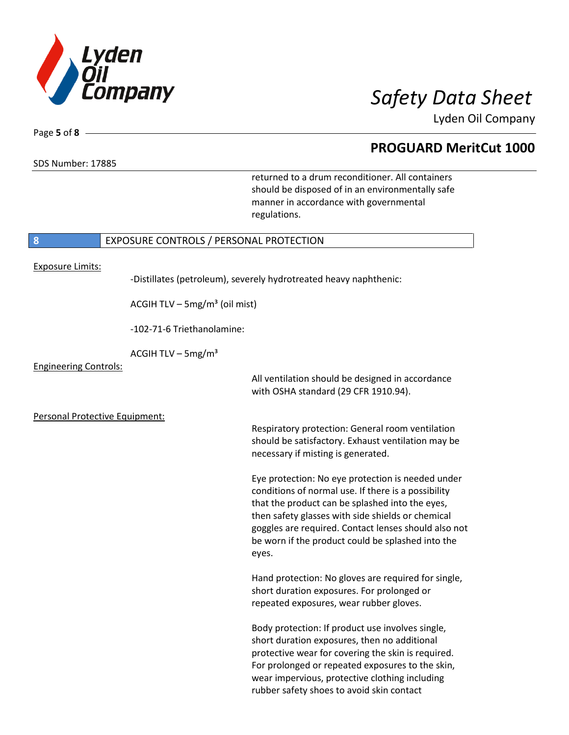

SDS Number: 17885

Page **5** of **8**

## **PROGUARD MeritCut 1000**

returned to a drum reconditioner. All containers should be disposed of in an environmentally safe manner in accordance with governmental regulations.

## **8** EXPOSURE CONTROLS / PERSONAL PROTECTION

Exposure Limits:

-Distillates (petroleum), severely hydrotreated heavy naphthenic:

ACGIH TLV – 5mg/m<sup>3</sup> (oil mist)

-102-71-6 Triethanolamine:

ACGIH TLV –  $5mg/m<sup>3</sup>$ 

Engineering Controls:

All ventilation should be designed in accordance with OSHA standard (29 CFR 1910.94).

Personal Protective Equipment:

Respiratory protection: General room ventilation should be satisfactory. Exhaust ventilation may be necessary if misting is generated.

Eye protection: No eye protection is needed under conditions of normal use. If there is a possibility that the product can be splashed into the eyes, then safety glasses with side shields or chemical goggles are required. Contact lenses should also not be worn if the product could be splashed into the eyes.

Hand protection: No gloves are required for single, short duration exposures. For prolonged or repeated exposures, wear rubber gloves.

Body protection: If product use involves single, short duration exposures, then no additional protective wear for covering the skin is required. For prolonged or repeated exposures to the skin, wear impervious, protective clothing including rubber safety shoes to avoid skin contact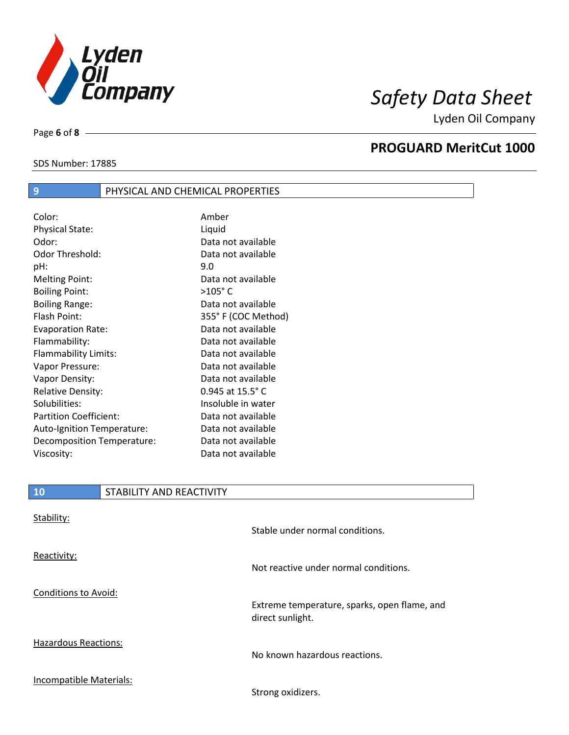

SDS Number: 17885

Page **6** of **8**

## **PROGUARD MeritCut 1000**

## **9** PHYSICAL AND CHEMICAL PROPERTIES

| Color:                        | Amber                       |
|-------------------------------|-----------------------------|
| <b>Physical State:</b>        | Liquid                      |
| Odor:                         | Data not available          |
| Odor Threshold:               | Data not available          |
| pH:                           | 9.0                         |
| <b>Melting Point:</b>         | Data not available          |
| <b>Boiling Point:</b>         | $>105^\circ$ C              |
| <b>Boiling Range:</b>         | Data not available          |
| Flash Point:                  | 355° F (COC Method)         |
| <b>Evaporation Rate:</b>      | Data not available          |
| Flammability:                 | Data not available          |
| Flammability Limits:          | Data not available          |
| Vapor Pressure:               | Data not available          |
| Vapor Density:                | Data not available          |
| <b>Relative Density:</b>      | $0.945$ at $15.5^{\circ}$ C |
| Solubilities:                 | Insoluble in water          |
| <b>Partition Coefficient:</b> | Data not available          |
| Auto-Ignition Temperature:    | Data not available          |
| Decomposition Temperature:    | Data not available          |
| Viscosity:                    | Data not available          |

## **10** STABILITY AND REACTIVITY

| Stability:                  | Stable under normal conditions.                                  |
|-----------------------------|------------------------------------------------------------------|
| Reactivity:                 | Not reactive under normal conditions.                            |
| <b>Conditions to Avoid:</b> | Extreme temperature, sparks, open flame, and<br>direct sunlight. |
| <b>Hazardous Reactions:</b> | No known hazardous reactions.                                    |
| Incompatible Materials:     | Strong oxidizers.                                                |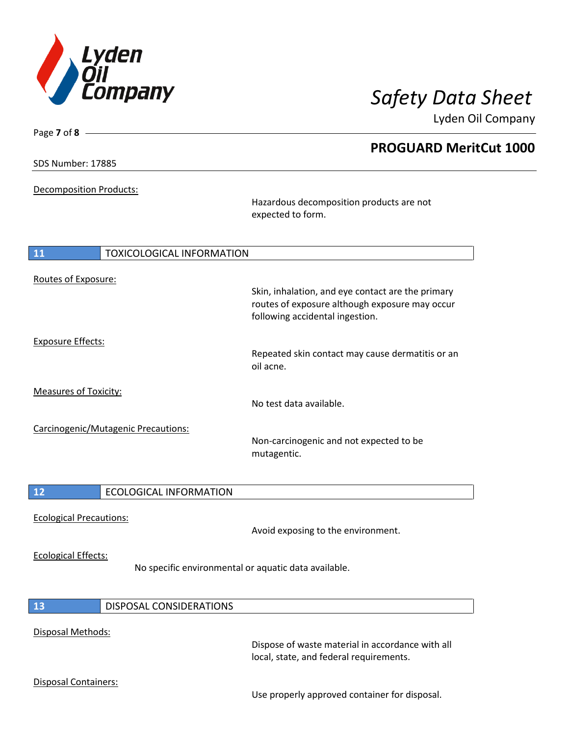

|                               | Skin, inhalation, and eye contact are the primary |                                                                                                                                                                                                                                                                                                                                                                                        |
|-------------------------------|---------------------------------------------------|----------------------------------------------------------------------------------------------------------------------------------------------------------------------------------------------------------------------------------------------------------------------------------------------------------------------------------------------------------------------------------------|
|                               |                                                   |                                                                                                                                                                                                                                                                                                                                                                                        |
|                               |                                                   |                                                                                                                                                                                                                                                                                                                                                                                        |
|                               |                                                   |                                                                                                                                                                                                                                                                                                                                                                                        |
|                               |                                                   |                                                                                                                                                                                                                                                                                                                                                                                        |
|                               |                                                   |                                                                                                                                                                                                                                                                                                                                                                                        |
|                               |                                                   |                                                                                                                                                                                                                                                                                                                                                                                        |
|                               | No test data available.                           |                                                                                                                                                                                                                                                                                                                                                                                        |
|                               |                                                   |                                                                                                                                                                                                                                                                                                                                                                                        |
|                               | Non-carcinogenic and not expected to be           |                                                                                                                                                                                                                                                                                                                                                                                        |
|                               | mutagentic.                                       |                                                                                                                                                                                                                                                                                                                                                                                        |
|                               |                                                   |                                                                                                                                                                                                                                                                                                                                                                                        |
| <b>ECOLOGICAL INFORMATION</b> |                                                   |                                                                                                                                                                                                                                                                                                                                                                                        |
|                               |                                                   |                                                                                                                                                                                                                                                                                                                                                                                        |
|                               |                                                   |                                                                                                                                                                                                                                                                                                                                                                                        |
|                               |                                                   |                                                                                                                                                                                                                                                                                                                                                                                        |
|                               |                                                   |                                                                                                                                                                                                                                                                                                                                                                                        |
|                               |                                                   |                                                                                                                                                                                                                                                                                                                                                                                        |
|                               |                                                   |                                                                                                                                                                                                                                                                                                                                                                                        |
| DISPOSAL CONSIDERATIONS       |                                                   |                                                                                                                                                                                                                                                                                                                                                                                        |
|                               | Carcinogenic/Mutagenic Precautions:               | <b>PROGUARD MeritCut 1000</b><br>Hazardous decomposition products are not<br>expected to form.<br><b>TOXICOLOGICAL INFORMATION</b><br>routes of exposure although exposure may occur<br>following accidental ingestion.<br>Repeated skin contact may cause dermatitis or an<br>oil acne.<br>Avoid exposing to the environment.<br>No specific environmental or aquatic data available. |

### Disposal Methods:

Dispose of waste material in accordance with all local, state, and federal requirements.

## Disposal Containers:

Use properly approved container for disposal.